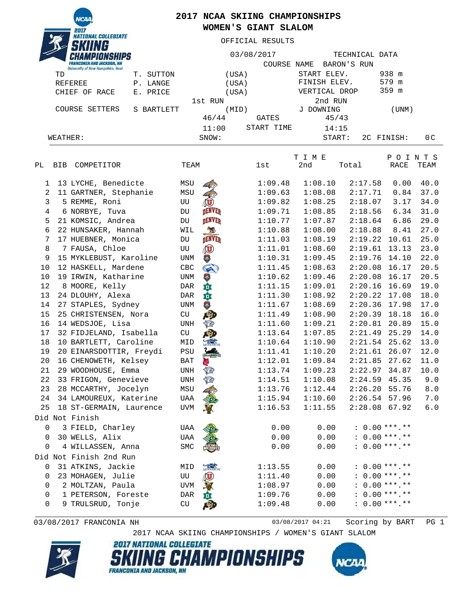**VATIONAL COLLEGIATE** *<u>TIBBO</u>* 

## **2017 NCAA SKIING CHAMPIONSHIPS WOMEN'S GIANT SLALOM**

OFFICIAL RESULTS

| START ELEV.<br>938 m<br>T. SUTTON<br>(USA)<br>TD<br>FINISH ELEV.<br>579 m<br><b>REFEREE</b><br>P. LANGE<br>(USA)<br>359 m<br>VERTICAL DROP<br>CHIEF OF RACE<br>E. PRICE<br>(USA)<br>2nd RUN<br>1st RUN<br>COURSE SETTERS<br>J DOWNING<br>S BARTLETT<br>(MID)<br>(UNM)<br>46/44<br>GATES<br>45/43<br>START TIME<br>11:00<br>14:15<br>SNOW:<br>2C FINISH:<br>0 <sub>C</sub><br>WEATHER:<br>START:<br>POINTS<br>T I M E<br>COMPETITOR<br>2nd<br><b>RACE</b><br>РL<br>TEAM<br>lst<br>Total<br>TEAM<br>BIB<br>1:08.10<br>40.0<br>13 LYCHE, Benedicte<br>MSU<br>1:09.48<br>2:17.58<br>0.00<br>1<br>2<br>1:09.63<br>1:08.08<br>2:17.71<br>0.84<br>37.0<br>11 GARTNER, Stephanie<br>MSU<br>3<br>1:09.82<br>1:08.25<br>2:18.07<br>34.0<br>5 REMME, Roni<br>3.17<br>UU<br>4<br><b>DENVER</b><br>1:08.85<br>2:18.56<br>31.0<br>6 NORBYE, Tuva<br>1:09.71<br>6.34<br>DU<br><b>DENVER</b><br>29.0<br>5<br>1:07.87<br>2:18.64<br>6.86<br>21 KOMSIC, Andrea<br>1:10.77<br>DU<br>6<br>22 HUNSAKER, Hannah<br>1:10.88<br>1:08.00<br>2:18.88<br>8.41<br>27.0<br>WIL<br><b>DENVER</b><br>7<br>17 HUEBNER, Monica<br>1:08.19<br>2:19.22<br>25.0<br>DU<br>1:11.03<br>10.61<br><b>Q</b><br>8<br>23.0<br>7 FAUSA, Chloe<br>1:11.01<br>1:08.60<br>2:19.61<br>13.13<br>UU<br>9<br>15 MYKLEBUST, Karoline<br>1:09.45<br>2:19.76<br>22.0<br><b>CENT</b><br>1:10.31<br>14.10<br>UNM<br>10<br>G)<br>20.5<br>12 HASKELL, Mardene<br>1:11.45<br>1:08.63<br>2:20.08<br>16.17<br>CBC<br>20.5<br>10<br>19 IRWIN, Katharine<br>V<br>1:10.62<br>1:09.46<br>2:20.08<br>16.17<br><b>UNM</b><br>垚<br>12<br>8 MOORE, Kelly<br>1:09.01<br>2:20.16<br>19.0<br>1:11.15<br>16.69<br>DAR<br>韯<br>18.0<br>13<br>1:08.92<br>2:20.22<br>24 DLOUHY, Alexa<br>1:11.30<br>17.08<br>DAR<br>$\overline{\mathbf{a}}$<br>17.0<br>14<br>1:08.69<br>2:20.36<br>17.98<br>27 STAPLES, Sydney<br>1:11.67<br>UNM<br>15<br>1:08.90<br>2:20.39<br>16.0<br>25 CHRISTENSEN, Nora<br>1:11.49<br>18.18<br>CU<br>16<br>1:09.21<br>15.0<br>14 WEDSJOE, Lisa<br>1:11.60<br>2:20.81<br>20.89<br>UNH<br>$\sqrt{\alpha}$<br>14.0<br>17<br>1:07.85<br>2:21.49<br>25.29<br>32 FIDJELAND, Isabella<br>1:13.64<br>CU<br>13.0<br>18<br>$2:21.54$ 25.62<br>10 BARTLETT, Caroline<br>1:10.64<br>1:10.90<br>MID<br>12.0<br>19<br>1:10.20<br>2:21.61<br>26.07<br>20 EINARSDOTTIR, Freydi<br>1:11.41<br>PSU<br>20<br>11.0<br>16 CHENOWETH, Kelsey<br>1:12.01<br>1:09.84<br>2:21.85<br>27.62<br>BAT<br>10.0<br>2:22.97<br>21<br>29 WOODHOUSE, Emma<br>1:13.74<br>1:09.23<br>34.87<br>UNH<br>22<br>X<br>$2:24.59$ 45.35<br>9.0<br>33 FRIGON, Genevieve<br><b>UNH</b><br>1:14.51<br>1:10.08<br>23<br>28 MCCARTHY, Jocelyn<br>MSU<br>1:13.76<br>1:12.44<br>$2:26.20$ 55.76<br>8.0<br>1:15.94<br>1:10.60<br>$2:26.54$ 57.96<br>7.0<br>24<br>34 LAMOUREUX, Katerine<br>UAA<br>$2:28.08$ 67.92<br><b>UVM</b><br>1:16.53<br>1:11.55<br>6.0<br>25<br>18 ST-GERMAIN, Laurence<br>Did Not Finish<br>3 FIELD, Charley<br>0.00<br>0.00<br>$: 0.00***.**$<br>0<br>UAA<br>30 WELLS, Alix<br>0.00<br>0.00<br>$: 0.00***.**$<br><b>UAA</b><br>0<br>$: 0.00***.**$<br>0.00<br>0.00<br>4 WILLASSEN, Anna<br>SMC<br>0<br>Did Not Finish 2nd Run<br>MIDDLEBURY<br>$: 0.00***.**$<br>31 ATKINS, Jackie<br>1:13.55<br>0.00<br>0<br>MID<br>(U<br>0.00<br>$: 0.00***.**$<br>23 MOHAGEN, Julie<br>0<br>UU<br>1:11.40<br>入<br>$: 0.00***.**$<br>2 MOLTZAN, Paula<br>0.00<br>0<br>UVM<br>1:08.97<br>$: 0.00***.**$<br>0<br>1 PETERSON, Foreste<br>尊<br>1:09.76<br>0.00<br>DAR<br>$: 0.00***.**$<br>9 TRULSRUD, Tonje<br>CU<br>四<br>1:09.48<br>0.00<br>0 |  | <b>FRANCONIA AND JACKSON, NH</b><br><b>University of New Hampshire, Hast</b> |  | 03/08/2017<br>COURSE NAME |  |  | TECHNICAL DATA<br>BARON'S RUN |  |  |  |  |  |
|------------------------------------------------------------------------------------------------------------------------------------------------------------------------------------------------------------------------------------------------------------------------------------------------------------------------------------------------------------------------------------------------------------------------------------------------------------------------------------------------------------------------------------------------------------------------------------------------------------------------------------------------------------------------------------------------------------------------------------------------------------------------------------------------------------------------------------------------------------------------------------------------------------------------------------------------------------------------------------------------------------------------------------------------------------------------------------------------------------------------------------------------------------------------------------------------------------------------------------------------------------------------------------------------------------------------------------------------------------------------------------------------------------------------------------------------------------------------------------------------------------------------------------------------------------------------------------------------------------------------------------------------------------------------------------------------------------------------------------------------------------------------------------------------------------------------------------------------------------------------------------------------------------------------------------------------------------------------------------------------------------------------------------------------------------------------------------------------------------------------------------------------------------------------------------------------------------------------------------------------------------------------------------------------------------------------------------------------------------------------------------------------------------------------------------------------------------------------------------------------------------------------------------------------------------------------------------------------------------------------------------------------------------------------------------------------------------------------------------------------------------------------------------------------------------------------------------------------------------------------------------------------------------------------------------------------------------------------------------------------------------------------------------------------------------------------------------------------------------------------------------------------------------------------------------------------------------------------------------------------------------------------------------------------------------------------------------------------------------------------------------------------------------------------------------------------------------------------------------------------------------------------------------------|--|------------------------------------------------------------------------------|--|---------------------------|--|--|-------------------------------|--|--|--|--|--|
|                                                                                                                                                                                                                                                                                                                                                                                                                                                                                                                                                                                                                                                                                                                                                                                                                                                                                                                                                                                                                                                                                                                                                                                                                                                                                                                                                                                                                                                                                                                                                                                                                                                                                                                                                                                                                                                                                                                                                                                                                                                                                                                                                                                                                                                                                                                                                                                                                                                                                                                                                                                                                                                                                                                                                                                                                                                                                                                                                                                                                                                                                                                                                                                                                                                                                                                                                                                                                                                                                                                                          |  |                                                                              |  |                           |  |  |                               |  |  |  |  |  |
|                                                                                                                                                                                                                                                                                                                                                                                                                                                                                                                                                                                                                                                                                                                                                                                                                                                                                                                                                                                                                                                                                                                                                                                                                                                                                                                                                                                                                                                                                                                                                                                                                                                                                                                                                                                                                                                                                                                                                                                                                                                                                                                                                                                                                                                                                                                                                                                                                                                                                                                                                                                                                                                                                                                                                                                                                                                                                                                                                                                                                                                                                                                                                                                                                                                                                                                                                                                                                                                                                                                                          |  |                                                                              |  |                           |  |  |                               |  |  |  |  |  |
|                                                                                                                                                                                                                                                                                                                                                                                                                                                                                                                                                                                                                                                                                                                                                                                                                                                                                                                                                                                                                                                                                                                                                                                                                                                                                                                                                                                                                                                                                                                                                                                                                                                                                                                                                                                                                                                                                                                                                                                                                                                                                                                                                                                                                                                                                                                                                                                                                                                                                                                                                                                                                                                                                                                                                                                                                                                                                                                                                                                                                                                                                                                                                                                                                                                                                                                                                                                                                                                                                                                                          |  |                                                                              |  |                           |  |  |                               |  |  |  |  |  |
|                                                                                                                                                                                                                                                                                                                                                                                                                                                                                                                                                                                                                                                                                                                                                                                                                                                                                                                                                                                                                                                                                                                                                                                                                                                                                                                                                                                                                                                                                                                                                                                                                                                                                                                                                                                                                                                                                                                                                                                                                                                                                                                                                                                                                                                                                                                                                                                                                                                                                                                                                                                                                                                                                                                                                                                                                                                                                                                                                                                                                                                                                                                                                                                                                                                                                                                                                                                                                                                                                                                                          |  |                                                                              |  |                           |  |  |                               |  |  |  |  |  |
|                                                                                                                                                                                                                                                                                                                                                                                                                                                                                                                                                                                                                                                                                                                                                                                                                                                                                                                                                                                                                                                                                                                                                                                                                                                                                                                                                                                                                                                                                                                                                                                                                                                                                                                                                                                                                                                                                                                                                                                                                                                                                                                                                                                                                                                                                                                                                                                                                                                                                                                                                                                                                                                                                                                                                                                                                                                                                                                                                                                                                                                                                                                                                                                                                                                                                                                                                                                                                                                                                                                                          |  |                                                                              |  |                           |  |  |                               |  |  |  |  |  |
|                                                                                                                                                                                                                                                                                                                                                                                                                                                                                                                                                                                                                                                                                                                                                                                                                                                                                                                                                                                                                                                                                                                                                                                                                                                                                                                                                                                                                                                                                                                                                                                                                                                                                                                                                                                                                                                                                                                                                                                                                                                                                                                                                                                                                                                                                                                                                                                                                                                                                                                                                                                                                                                                                                                                                                                                                                                                                                                                                                                                                                                                                                                                                                                                                                                                                                                                                                                                                                                                                                                                          |  |                                                                              |  |                           |  |  |                               |  |  |  |  |  |
|                                                                                                                                                                                                                                                                                                                                                                                                                                                                                                                                                                                                                                                                                                                                                                                                                                                                                                                                                                                                                                                                                                                                                                                                                                                                                                                                                                                                                                                                                                                                                                                                                                                                                                                                                                                                                                                                                                                                                                                                                                                                                                                                                                                                                                                                                                                                                                                                                                                                                                                                                                                                                                                                                                                                                                                                                                                                                                                                                                                                                                                                                                                                                                                                                                                                                                                                                                                                                                                                                                                                          |  |                                                                              |  |                           |  |  |                               |  |  |  |  |  |
|                                                                                                                                                                                                                                                                                                                                                                                                                                                                                                                                                                                                                                                                                                                                                                                                                                                                                                                                                                                                                                                                                                                                                                                                                                                                                                                                                                                                                                                                                                                                                                                                                                                                                                                                                                                                                                                                                                                                                                                                                                                                                                                                                                                                                                                                                                                                                                                                                                                                                                                                                                                                                                                                                                                                                                                                                                                                                                                                                                                                                                                                                                                                                                                                                                                                                                                                                                                                                                                                                                                                          |  |                                                                              |  |                           |  |  |                               |  |  |  |  |  |
|                                                                                                                                                                                                                                                                                                                                                                                                                                                                                                                                                                                                                                                                                                                                                                                                                                                                                                                                                                                                                                                                                                                                                                                                                                                                                                                                                                                                                                                                                                                                                                                                                                                                                                                                                                                                                                                                                                                                                                                                                                                                                                                                                                                                                                                                                                                                                                                                                                                                                                                                                                                                                                                                                                                                                                                                                                                                                                                                                                                                                                                                                                                                                                                                                                                                                                                                                                                                                                                                                                                                          |  |                                                                              |  |                           |  |  |                               |  |  |  |  |  |
|                                                                                                                                                                                                                                                                                                                                                                                                                                                                                                                                                                                                                                                                                                                                                                                                                                                                                                                                                                                                                                                                                                                                                                                                                                                                                                                                                                                                                                                                                                                                                                                                                                                                                                                                                                                                                                                                                                                                                                                                                                                                                                                                                                                                                                                                                                                                                                                                                                                                                                                                                                                                                                                                                                                                                                                                                                                                                                                                                                                                                                                                                                                                                                                                                                                                                                                                                                                                                                                                                                                                          |  |                                                                              |  |                           |  |  |                               |  |  |  |  |  |
|                                                                                                                                                                                                                                                                                                                                                                                                                                                                                                                                                                                                                                                                                                                                                                                                                                                                                                                                                                                                                                                                                                                                                                                                                                                                                                                                                                                                                                                                                                                                                                                                                                                                                                                                                                                                                                                                                                                                                                                                                                                                                                                                                                                                                                                                                                                                                                                                                                                                                                                                                                                                                                                                                                                                                                                                                                                                                                                                                                                                                                                                                                                                                                                                                                                                                                                                                                                                                                                                                                                                          |  |                                                                              |  |                           |  |  |                               |  |  |  |  |  |
|                                                                                                                                                                                                                                                                                                                                                                                                                                                                                                                                                                                                                                                                                                                                                                                                                                                                                                                                                                                                                                                                                                                                                                                                                                                                                                                                                                                                                                                                                                                                                                                                                                                                                                                                                                                                                                                                                                                                                                                                                                                                                                                                                                                                                                                                                                                                                                                                                                                                                                                                                                                                                                                                                                                                                                                                                                                                                                                                                                                                                                                                                                                                                                                                                                                                                                                                                                                                                                                                                                                                          |  |                                                                              |  |                           |  |  |                               |  |  |  |  |  |
|                                                                                                                                                                                                                                                                                                                                                                                                                                                                                                                                                                                                                                                                                                                                                                                                                                                                                                                                                                                                                                                                                                                                                                                                                                                                                                                                                                                                                                                                                                                                                                                                                                                                                                                                                                                                                                                                                                                                                                                                                                                                                                                                                                                                                                                                                                                                                                                                                                                                                                                                                                                                                                                                                                                                                                                                                                                                                                                                                                                                                                                                                                                                                                                                                                                                                                                                                                                                                                                                                                                                          |  |                                                                              |  |                           |  |  |                               |  |  |  |  |  |
|                                                                                                                                                                                                                                                                                                                                                                                                                                                                                                                                                                                                                                                                                                                                                                                                                                                                                                                                                                                                                                                                                                                                                                                                                                                                                                                                                                                                                                                                                                                                                                                                                                                                                                                                                                                                                                                                                                                                                                                                                                                                                                                                                                                                                                                                                                                                                                                                                                                                                                                                                                                                                                                                                                                                                                                                                                                                                                                                                                                                                                                                                                                                                                                                                                                                                                                                                                                                                                                                                                                                          |  |                                                                              |  |                           |  |  |                               |  |  |  |  |  |
|                                                                                                                                                                                                                                                                                                                                                                                                                                                                                                                                                                                                                                                                                                                                                                                                                                                                                                                                                                                                                                                                                                                                                                                                                                                                                                                                                                                                                                                                                                                                                                                                                                                                                                                                                                                                                                                                                                                                                                                                                                                                                                                                                                                                                                                                                                                                                                                                                                                                                                                                                                                                                                                                                                                                                                                                                                                                                                                                                                                                                                                                                                                                                                                                                                                                                                                                                                                                                                                                                                                                          |  |                                                                              |  |                           |  |  |                               |  |  |  |  |  |
|                                                                                                                                                                                                                                                                                                                                                                                                                                                                                                                                                                                                                                                                                                                                                                                                                                                                                                                                                                                                                                                                                                                                                                                                                                                                                                                                                                                                                                                                                                                                                                                                                                                                                                                                                                                                                                                                                                                                                                                                                                                                                                                                                                                                                                                                                                                                                                                                                                                                                                                                                                                                                                                                                                                                                                                                                                                                                                                                                                                                                                                                                                                                                                                                                                                                                                                                                                                                                                                                                                                                          |  |                                                                              |  |                           |  |  |                               |  |  |  |  |  |
|                                                                                                                                                                                                                                                                                                                                                                                                                                                                                                                                                                                                                                                                                                                                                                                                                                                                                                                                                                                                                                                                                                                                                                                                                                                                                                                                                                                                                                                                                                                                                                                                                                                                                                                                                                                                                                                                                                                                                                                                                                                                                                                                                                                                                                                                                                                                                                                                                                                                                                                                                                                                                                                                                                                                                                                                                                                                                                                                                                                                                                                                                                                                                                                                                                                                                                                                                                                                                                                                                                                                          |  |                                                                              |  |                           |  |  |                               |  |  |  |  |  |
|                                                                                                                                                                                                                                                                                                                                                                                                                                                                                                                                                                                                                                                                                                                                                                                                                                                                                                                                                                                                                                                                                                                                                                                                                                                                                                                                                                                                                                                                                                                                                                                                                                                                                                                                                                                                                                                                                                                                                                                                                                                                                                                                                                                                                                                                                                                                                                                                                                                                                                                                                                                                                                                                                                                                                                                                                                                                                                                                                                                                                                                                                                                                                                                                                                                                                                                                                                                                                                                                                                                                          |  |                                                                              |  |                           |  |  |                               |  |  |  |  |  |
|                                                                                                                                                                                                                                                                                                                                                                                                                                                                                                                                                                                                                                                                                                                                                                                                                                                                                                                                                                                                                                                                                                                                                                                                                                                                                                                                                                                                                                                                                                                                                                                                                                                                                                                                                                                                                                                                                                                                                                                                                                                                                                                                                                                                                                                                                                                                                                                                                                                                                                                                                                                                                                                                                                                                                                                                                                                                                                                                                                                                                                                                                                                                                                                                                                                                                                                                                                                                                                                                                                                                          |  |                                                                              |  |                           |  |  |                               |  |  |  |  |  |
|                                                                                                                                                                                                                                                                                                                                                                                                                                                                                                                                                                                                                                                                                                                                                                                                                                                                                                                                                                                                                                                                                                                                                                                                                                                                                                                                                                                                                                                                                                                                                                                                                                                                                                                                                                                                                                                                                                                                                                                                                                                                                                                                                                                                                                                                                                                                                                                                                                                                                                                                                                                                                                                                                                                                                                                                                                                                                                                                                                                                                                                                                                                                                                                                                                                                                                                                                                                                                                                                                                                                          |  |                                                                              |  |                           |  |  |                               |  |  |  |  |  |
|                                                                                                                                                                                                                                                                                                                                                                                                                                                                                                                                                                                                                                                                                                                                                                                                                                                                                                                                                                                                                                                                                                                                                                                                                                                                                                                                                                                                                                                                                                                                                                                                                                                                                                                                                                                                                                                                                                                                                                                                                                                                                                                                                                                                                                                                                                                                                                                                                                                                                                                                                                                                                                                                                                                                                                                                                                                                                                                                                                                                                                                                                                                                                                                                                                                                                                                                                                                                                                                                                                                                          |  |                                                                              |  |                           |  |  |                               |  |  |  |  |  |
|                                                                                                                                                                                                                                                                                                                                                                                                                                                                                                                                                                                                                                                                                                                                                                                                                                                                                                                                                                                                                                                                                                                                                                                                                                                                                                                                                                                                                                                                                                                                                                                                                                                                                                                                                                                                                                                                                                                                                                                                                                                                                                                                                                                                                                                                                                                                                                                                                                                                                                                                                                                                                                                                                                                                                                                                                                                                                                                                                                                                                                                                                                                                                                                                                                                                                                                                                                                                                                                                                                                                          |  |                                                                              |  |                           |  |  |                               |  |  |  |  |  |
|                                                                                                                                                                                                                                                                                                                                                                                                                                                                                                                                                                                                                                                                                                                                                                                                                                                                                                                                                                                                                                                                                                                                                                                                                                                                                                                                                                                                                                                                                                                                                                                                                                                                                                                                                                                                                                                                                                                                                                                                                                                                                                                                                                                                                                                                                                                                                                                                                                                                                                                                                                                                                                                                                                                                                                                                                                                                                                                                                                                                                                                                                                                                                                                                                                                                                                                                                                                                                                                                                                                                          |  |                                                                              |  |                           |  |  |                               |  |  |  |  |  |
|                                                                                                                                                                                                                                                                                                                                                                                                                                                                                                                                                                                                                                                                                                                                                                                                                                                                                                                                                                                                                                                                                                                                                                                                                                                                                                                                                                                                                                                                                                                                                                                                                                                                                                                                                                                                                                                                                                                                                                                                                                                                                                                                                                                                                                                                                                                                                                                                                                                                                                                                                                                                                                                                                                                                                                                                                                                                                                                                                                                                                                                                                                                                                                                                                                                                                                                                                                                                                                                                                                                                          |  |                                                                              |  |                           |  |  |                               |  |  |  |  |  |
|                                                                                                                                                                                                                                                                                                                                                                                                                                                                                                                                                                                                                                                                                                                                                                                                                                                                                                                                                                                                                                                                                                                                                                                                                                                                                                                                                                                                                                                                                                                                                                                                                                                                                                                                                                                                                                                                                                                                                                                                                                                                                                                                                                                                                                                                                                                                                                                                                                                                                                                                                                                                                                                                                                                                                                                                                                                                                                                                                                                                                                                                                                                                                                                                                                                                                                                                                                                                                                                                                                                                          |  |                                                                              |  |                           |  |  |                               |  |  |  |  |  |
|                                                                                                                                                                                                                                                                                                                                                                                                                                                                                                                                                                                                                                                                                                                                                                                                                                                                                                                                                                                                                                                                                                                                                                                                                                                                                                                                                                                                                                                                                                                                                                                                                                                                                                                                                                                                                                                                                                                                                                                                                                                                                                                                                                                                                                                                                                                                                                                                                                                                                                                                                                                                                                                                                                                                                                                                                                                                                                                                                                                                                                                                                                                                                                                                                                                                                                                                                                                                                                                                                                                                          |  |                                                                              |  |                           |  |  |                               |  |  |  |  |  |
|                                                                                                                                                                                                                                                                                                                                                                                                                                                                                                                                                                                                                                                                                                                                                                                                                                                                                                                                                                                                                                                                                                                                                                                                                                                                                                                                                                                                                                                                                                                                                                                                                                                                                                                                                                                                                                                                                                                                                                                                                                                                                                                                                                                                                                                                                                                                                                                                                                                                                                                                                                                                                                                                                                                                                                                                                                                                                                                                                                                                                                                                                                                                                                                                                                                                                                                                                                                                                                                                                                                                          |  |                                                                              |  |                           |  |  |                               |  |  |  |  |  |
|                                                                                                                                                                                                                                                                                                                                                                                                                                                                                                                                                                                                                                                                                                                                                                                                                                                                                                                                                                                                                                                                                                                                                                                                                                                                                                                                                                                                                                                                                                                                                                                                                                                                                                                                                                                                                                                                                                                                                                                                                                                                                                                                                                                                                                                                                                                                                                                                                                                                                                                                                                                                                                                                                                                                                                                                                                                                                                                                                                                                                                                                                                                                                                                                                                                                                                                                                                                                                                                                                                                                          |  |                                                                              |  |                           |  |  |                               |  |  |  |  |  |
|                                                                                                                                                                                                                                                                                                                                                                                                                                                                                                                                                                                                                                                                                                                                                                                                                                                                                                                                                                                                                                                                                                                                                                                                                                                                                                                                                                                                                                                                                                                                                                                                                                                                                                                                                                                                                                                                                                                                                                                                                                                                                                                                                                                                                                                                                                                                                                                                                                                                                                                                                                                                                                                                                                                                                                                                                                                                                                                                                                                                                                                                                                                                                                                                                                                                                                                                                                                                                                                                                                                                          |  |                                                                              |  |                           |  |  |                               |  |  |  |  |  |
|                                                                                                                                                                                                                                                                                                                                                                                                                                                                                                                                                                                                                                                                                                                                                                                                                                                                                                                                                                                                                                                                                                                                                                                                                                                                                                                                                                                                                                                                                                                                                                                                                                                                                                                                                                                                                                                                                                                                                                                                                                                                                                                                                                                                                                                                                                                                                                                                                                                                                                                                                                                                                                                                                                                                                                                                                                                                                                                                                                                                                                                                                                                                                                                                                                                                                                                                                                                                                                                                                                                                          |  |                                                                              |  |                           |  |  |                               |  |  |  |  |  |
|                                                                                                                                                                                                                                                                                                                                                                                                                                                                                                                                                                                                                                                                                                                                                                                                                                                                                                                                                                                                                                                                                                                                                                                                                                                                                                                                                                                                                                                                                                                                                                                                                                                                                                                                                                                                                                                                                                                                                                                                                                                                                                                                                                                                                                                                                                                                                                                                                                                                                                                                                                                                                                                                                                                                                                                                                                                                                                                                                                                                                                                                                                                                                                                                                                                                                                                                                                                                                                                                                                                                          |  |                                                                              |  |                           |  |  |                               |  |  |  |  |  |
|                                                                                                                                                                                                                                                                                                                                                                                                                                                                                                                                                                                                                                                                                                                                                                                                                                                                                                                                                                                                                                                                                                                                                                                                                                                                                                                                                                                                                                                                                                                                                                                                                                                                                                                                                                                                                                                                                                                                                                                                                                                                                                                                                                                                                                                                                                                                                                                                                                                                                                                                                                                                                                                                                                                                                                                                                                                                                                                                                                                                                                                                                                                                                                                                                                                                                                                                                                                                                                                                                                                                          |  |                                                                              |  |                           |  |  |                               |  |  |  |  |  |
|                                                                                                                                                                                                                                                                                                                                                                                                                                                                                                                                                                                                                                                                                                                                                                                                                                                                                                                                                                                                                                                                                                                                                                                                                                                                                                                                                                                                                                                                                                                                                                                                                                                                                                                                                                                                                                                                                                                                                                                                                                                                                                                                                                                                                                                                                                                                                                                                                                                                                                                                                                                                                                                                                                                                                                                                                                                                                                                                                                                                                                                                                                                                                                                                                                                                                                                                                                                                                                                                                                                                          |  |                                                                              |  |                           |  |  |                               |  |  |  |  |  |
|                                                                                                                                                                                                                                                                                                                                                                                                                                                                                                                                                                                                                                                                                                                                                                                                                                                                                                                                                                                                                                                                                                                                                                                                                                                                                                                                                                                                                                                                                                                                                                                                                                                                                                                                                                                                                                                                                                                                                                                                                                                                                                                                                                                                                                                                                                                                                                                                                                                                                                                                                                                                                                                                                                                                                                                                                                                                                                                                                                                                                                                                                                                                                                                                                                                                                                                                                                                                                                                                                                                                          |  |                                                                              |  |                           |  |  |                               |  |  |  |  |  |
|                                                                                                                                                                                                                                                                                                                                                                                                                                                                                                                                                                                                                                                                                                                                                                                                                                                                                                                                                                                                                                                                                                                                                                                                                                                                                                                                                                                                                                                                                                                                                                                                                                                                                                                                                                                                                                                                                                                                                                                                                                                                                                                                                                                                                                                                                                                                                                                                                                                                                                                                                                                                                                                                                                                                                                                                                                                                                                                                                                                                                                                                                                                                                                                                                                                                                                                                                                                                                                                                                                                                          |  |                                                                              |  |                           |  |  |                               |  |  |  |  |  |
|                                                                                                                                                                                                                                                                                                                                                                                                                                                                                                                                                                                                                                                                                                                                                                                                                                                                                                                                                                                                                                                                                                                                                                                                                                                                                                                                                                                                                                                                                                                                                                                                                                                                                                                                                                                                                                                                                                                                                                                                                                                                                                                                                                                                                                                                                                                                                                                                                                                                                                                                                                                                                                                                                                                                                                                                                                                                                                                                                                                                                                                                                                                                                                                                                                                                                                                                                                                                                                                                                                                                          |  |                                                                              |  |                           |  |  |                               |  |  |  |  |  |
|                                                                                                                                                                                                                                                                                                                                                                                                                                                                                                                                                                                                                                                                                                                                                                                                                                                                                                                                                                                                                                                                                                                                                                                                                                                                                                                                                                                                                                                                                                                                                                                                                                                                                                                                                                                                                                                                                                                                                                                                                                                                                                                                                                                                                                                                                                                                                                                                                                                                                                                                                                                                                                                                                                                                                                                                                                                                                                                                                                                                                                                                                                                                                                                                                                                                                                                                                                                                                                                                                                                                          |  |                                                                              |  |                           |  |  |                               |  |  |  |  |  |
|                                                                                                                                                                                                                                                                                                                                                                                                                                                                                                                                                                                                                                                                                                                                                                                                                                                                                                                                                                                                                                                                                                                                                                                                                                                                                                                                                                                                                                                                                                                                                                                                                                                                                                                                                                                                                                                                                                                                                                                                                                                                                                                                                                                                                                                                                                                                                                                                                                                                                                                                                                                                                                                                                                                                                                                                                                                                                                                                                                                                                                                                                                                                                                                                                                                                                                                                                                                                                                                                                                                                          |  |                                                                              |  |                           |  |  |                               |  |  |  |  |  |
|                                                                                                                                                                                                                                                                                                                                                                                                                                                                                                                                                                                                                                                                                                                                                                                                                                                                                                                                                                                                                                                                                                                                                                                                                                                                                                                                                                                                                                                                                                                                                                                                                                                                                                                                                                                                                                                                                                                                                                                                                                                                                                                                                                                                                                                                                                                                                                                                                                                                                                                                                                                                                                                                                                                                                                                                                                                                                                                                                                                                                                                                                                                                                                                                                                                                                                                                                                                                                                                                                                                                          |  |                                                                              |  |                           |  |  |                               |  |  |  |  |  |
|                                                                                                                                                                                                                                                                                                                                                                                                                                                                                                                                                                                                                                                                                                                                                                                                                                                                                                                                                                                                                                                                                                                                                                                                                                                                                                                                                                                                                                                                                                                                                                                                                                                                                                                                                                                                                                                                                                                                                                                                                                                                                                                                                                                                                                                                                                                                                                                                                                                                                                                                                                                                                                                                                                                                                                                                                                                                                                                                                                                                                                                                                                                                                                                                                                                                                                                                                                                                                                                                                                                                          |  |                                                                              |  |                           |  |  |                               |  |  |  |  |  |
|                                                                                                                                                                                                                                                                                                                                                                                                                                                                                                                                                                                                                                                                                                                                                                                                                                                                                                                                                                                                                                                                                                                                                                                                                                                                                                                                                                                                                                                                                                                                                                                                                                                                                                                                                                                                                                                                                                                                                                                                                                                                                                                                                                                                                                                                                                                                                                                                                                                                                                                                                                                                                                                                                                                                                                                                                                                                                                                                                                                                                                                                                                                                                                                                                                                                                                                                                                                                                                                                                                                                          |  |                                                                              |  |                           |  |  |                               |  |  |  |  |  |
|                                                                                                                                                                                                                                                                                                                                                                                                                                                                                                                                                                                                                                                                                                                                                                                                                                                                                                                                                                                                                                                                                                                                                                                                                                                                                                                                                                                                                                                                                                                                                                                                                                                                                                                                                                                                                                                                                                                                                                                                                                                                                                                                                                                                                                                                                                                                                                                                                                                                                                                                                                                                                                                                                                                                                                                                                                                                                                                                                                                                                                                                                                                                                                                                                                                                                                                                                                                                                                                                                                                                          |  |                                                                              |  |                           |  |  |                               |  |  |  |  |  |
|                                                                                                                                                                                                                                                                                                                                                                                                                                                                                                                                                                                                                                                                                                                                                                                                                                                                                                                                                                                                                                                                                                                                                                                                                                                                                                                                                                                                                                                                                                                                                                                                                                                                                                                                                                                                                                                                                                                                                                                                                                                                                                                                                                                                                                                                                                                                                                                                                                                                                                                                                                                                                                                                                                                                                                                                                                                                                                                                                                                                                                                                                                                                                                                                                                                                                                                                                                                                                                                                                                                                          |  |                                                                              |  |                           |  |  |                               |  |  |  |  |  |
|                                                                                                                                                                                                                                                                                                                                                                                                                                                                                                                                                                                                                                                                                                                                                                                                                                                                                                                                                                                                                                                                                                                                                                                                                                                                                                                                                                                                                                                                                                                                                                                                                                                                                                                                                                                                                                                                                                                                                                                                                                                                                                                                                                                                                                                                                                                                                                                                                                                                                                                                                                                                                                                                                                                                                                                                                                                                                                                                                                                                                                                                                                                                                                                                                                                                                                                                                                                                                                                                                                                                          |  |                                                                              |  |                           |  |  |                               |  |  |  |  |  |

03/08/2017 FRANCONIA NH 03/08/2017 04:21 Scoring by BART PG 1

2017 NCAA SKIING CHAMPIONSHIPS / WOMEN'S GIANT SLALOM



**2017 NATIONAL COLLEGIATE** *HAMPIONSHIPS* **FRANCONIA AND JACKSON, NH**